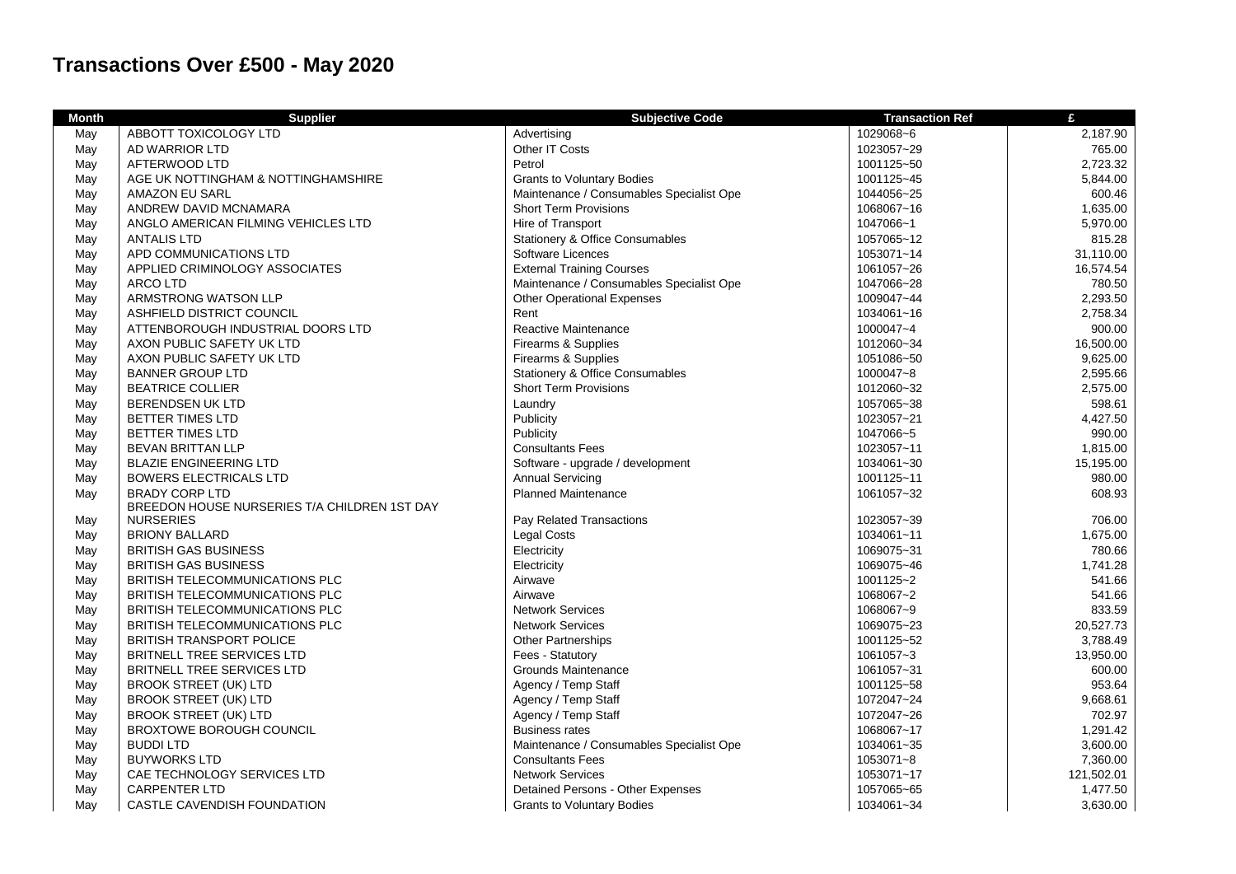## **Transactions Over £500 - May 2020**

| <b>Month</b> | <b>Supplier</b>                              | <b>Subjective Code</b>                   | <b>Transaction Ref</b> | £          |
|--------------|----------------------------------------------|------------------------------------------|------------------------|------------|
| May          | ABBOTT TOXICOLOGY LTD                        | Advertising                              | 1029068~6              | 2,187.90   |
| May          | AD WARRIOR LTD                               | Other IT Costs                           | 1023057~29             | 765.00     |
| May          | AFTERWOOD LTD                                | Petrol                                   | 1001125~50             | 2,723.32   |
| May          | AGE UK NOTTINGHAM & NOTTINGHAMSHIRE          | <b>Grants to Voluntary Bodies</b>        | 1001125~45             | 5,844.00   |
| May          | <b>AMAZON EU SARL</b>                        | Maintenance / Consumables Specialist Ope | 1044056~25             | 600.46     |
| May          | ANDREW DAVID MCNAMARA                        | <b>Short Term Provisions</b>             | 1068067~16             | 1,635.00   |
| May          | ANGLO AMERICAN FILMING VEHICLES LTD          | Hire of Transport                        | 1047066~1              | 5,970.00   |
| May          | <b>ANTALIS LTD</b>                           | Stationery & Office Consumables          | 1057065~12             | 815.28     |
| May          | APD COMMUNICATIONS LTD                       | Software Licences                        | 1053071~14             | 31,110.00  |
| May          | APPLIED CRIMINOLOGY ASSOCIATES               | <b>External Training Courses</b>         | 1061057~26             | 16,574.54  |
| May          | <b>ARCO LTD</b>                              | Maintenance / Consumables Specialist Ope | 1047066~28             | 780.50     |
| May          | ARMSTRONG WATSON LLP                         | <b>Other Operational Expenses</b>        | 1009047~44             | 2,293.50   |
| May          | ASHFIELD DISTRICT COUNCIL                    | Rent                                     | 1034061~16             | 2,758.34   |
| May          | ATTENBOROUGH INDUSTRIAL DOORS LTD            | Reactive Maintenance                     | 1000047~4              | 900.00     |
| May          | AXON PUBLIC SAFETY UK LTD                    | Firearms & Supplies                      | 1012060~34             | 16,500.00  |
| May          | AXON PUBLIC SAFETY UK LTD                    | Firearms & Supplies                      | 1051086~50             | 9,625.00   |
| May          | <b>BANNER GROUP LTD</b>                      | Stationery & Office Consumables          | 1000047~8              | 2,595.66   |
| May          | <b>BEATRICE COLLIER</b>                      | <b>Short Term Provisions</b>             | 1012060~32             | 2,575.00   |
| May          | <b>BERENDSEN UK LTD</b>                      | Laundry                                  | 1057065~38             | 598.61     |
| May          | <b>BETTER TIMES LTD</b>                      | Publicity                                | 1023057~21             | 4,427.50   |
| May          | <b>BETTER TIMES LTD</b>                      | Publicity                                | 1047066~5              | 990.00     |
| May          | <b>BEVAN BRITTAN LLP</b>                     | <b>Consultants Fees</b>                  | 1023057~11             | 1,815.00   |
| May          | <b>BLAZIE ENGINEERING LTD</b>                | Software - upgrade / development         | 1034061~30             | 15,195.00  |
| May          | <b>BOWERS ELECTRICALS LTD</b>                | <b>Annual Servicing</b>                  | 1001125~11             | 980.00     |
| May          | <b>BRADY CORP LTD</b>                        | <b>Planned Maintenance</b>               | 1061057~32             | 608.93     |
|              | BREEDON HOUSE NURSERIES T/A CHILDREN 1ST DAY |                                          |                        |            |
| May          | <b>NURSERIES</b>                             | Pay Related Transactions                 | 1023057~39             | 706.00     |
| May          | <b>BRIONY BALLARD</b>                        | <b>Legal Costs</b>                       | 1034061~11             | 1,675.00   |
| May          | <b>BRITISH GAS BUSINESS</b>                  | Electricity                              | 1069075~31             | 780.66     |
| May          | <b>BRITISH GAS BUSINESS</b>                  | Electricity                              | 1069075~46             | 1,741.28   |
| May          | BRITISH TELECOMMUNICATIONS PLC               | Airwave                                  | 1001125~2              | 541.66     |
| May          | <b>BRITISH TELECOMMUNICATIONS PLC</b>        | Airwave                                  | 1068067~2              | 541.66     |
| May          | BRITISH TELECOMMUNICATIONS PLC               | <b>Network Services</b>                  | 1068067~9              | 833.59     |
| May          | BRITISH TELECOMMUNICATIONS PLC               | <b>Network Services</b>                  | 1069075~23             | 20,527.73  |
| May          | <b>BRITISH TRANSPORT POLICE</b>              | <b>Other Partnerships</b>                | 1001125~52             | 3,788.49   |
| May          | <b>BRITNELL TREE SERVICES LTD</b>            | Fees - Statutory                         | 1061057~3              | 13,950.00  |
| May          | <b>BRITNELL TREE SERVICES LTD</b>            | Grounds Maintenance                      | 1061057~31             | 600.00     |
| May          | <b>BROOK STREET (UK) LTD</b>                 | Agency / Temp Staff                      | 1001125~58             | 953.64     |
| May          | <b>BROOK STREET (UK) LTD</b>                 | Agency / Temp Staff                      | 1072047~24             | 9,668.61   |
| May          | <b>BROOK STREET (UK) LTD</b>                 | Agency / Temp Staff                      | 1072047~26             | 702.97     |
| May          | <b>BROXTOWE BOROUGH COUNCIL</b>              | <b>Business rates</b>                    | 1068067~17             | 1,291.42   |
| May          | <b>BUDDI LTD</b>                             | Maintenance / Consumables Specialist Ope | 1034061~35             | 3,600.00   |
| May          | <b>BUYWORKS LTD</b>                          | <b>Consultants Fees</b>                  | 1053071~8              | 7,360.00   |
| May          | CAE TECHNOLOGY SERVICES LTD                  | <b>Network Services</b>                  | 1053071~17             | 121,502.01 |
| May          | <b>CARPENTER LTD</b>                         | Detained Persons - Other Expenses        | 1057065~65             | 1,477.50   |
| May          | CASTLE CAVENDISH FOUNDATION                  | <b>Grants to Voluntary Bodies</b>        | 1034061~34             | 3,630.00   |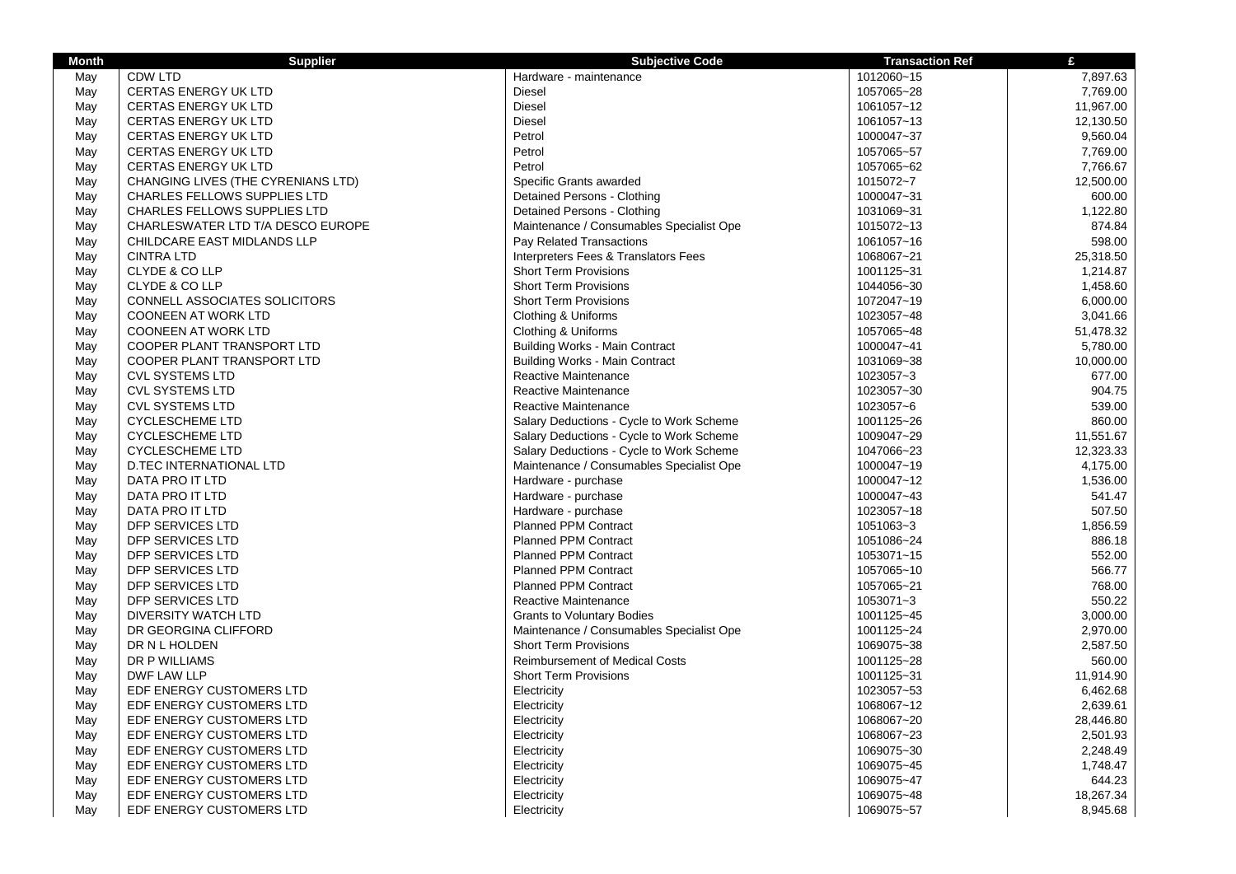| <b>Month</b> | <b>Supplier</b>                     | <b>Subjective Code</b>                   | <b>Transaction Ref</b> | £         |
|--------------|-------------------------------------|------------------------------------------|------------------------|-----------|
| May          | CDW LTD                             | Hardware - maintenance                   | 1012060~15             | 7,897.63  |
| May          | CERTAS ENERGY UK LTD                | Diesel                                   | 1057065~28             | 7,769.00  |
| May          | <b>CERTAS ENERGY UK LTD</b>         | <b>Diesel</b>                            | 1061057~12             | 11,967.00 |
| May          | <b>CERTAS ENERGY UK LTD</b>         | <b>Diesel</b>                            | 1061057~13             | 12,130.50 |
| May          | <b>CERTAS ENERGY UK LTD</b>         | Petrol                                   | 1000047~37             | 9,560.04  |
| May          | <b>CERTAS ENERGY UK LTD</b>         | Petrol                                   | 1057065~57             | 7,769.00  |
| May          | <b>CERTAS ENERGY UK LTD</b>         | Petrol                                   | 1057065~62             | 7,766.67  |
| May          | CHANGING LIVES (THE CYRENIANS LTD)  | Specific Grants awarded                  | 1015072~7              | 12,500.00 |
| May          | <b>CHARLES FELLOWS SUPPLIES LTD</b> | Detained Persons - Clothing              | 1000047~31             | 600.00    |
| May          | <b>CHARLES FELLOWS SUPPLIES LTD</b> | Detained Persons - Clothing              | 1031069~31             | 1,122.80  |
| May          | CHARLESWATER LTD T/A DESCO EUROPE   | Maintenance / Consumables Specialist Ope | 1015072~13             | 874.84    |
| May          | CHILDCARE EAST MIDLANDS LLP         | Pay Related Transactions                 | 1061057~16             | 598.00    |
| May          | <b>CINTRA LTD</b>                   | Interpreters Fees & Translators Fees     | 1068067~21             | 25,318.50 |
| May          | CLYDE & CO LLP                      | <b>Short Term Provisions</b>             | 1001125~31             | 1,214.87  |
| May          | CLYDE & CO LLP                      | <b>Short Term Provisions</b>             | 1044056~30             | 1,458.60  |
| May          | CONNELL ASSOCIATES SOLICITORS       | <b>Short Term Provisions</b>             | 1072047~19             | 6,000.00  |
| May          | <b>COONEEN AT WORK LTD</b>          | Clothing & Uniforms                      | 1023057~48             | 3,041.66  |
| May          | <b>COONEEN AT WORK LTD</b>          | Clothing & Uniforms                      | 1057065~48             | 51,478.32 |
| May          | COOPER PLANT TRANSPORT LTD          | <b>Building Works - Main Contract</b>    | 1000047~41             | 5,780.00  |
| May          | COOPER PLANT TRANSPORT LTD          | <b>Building Works - Main Contract</b>    | 1031069~38             | 10,000.00 |
| May          | <b>CVL SYSTEMS LTD</b>              | Reactive Maintenance                     | 1023057~3              | 677.00    |
| May          | <b>CVL SYSTEMS LTD</b>              | Reactive Maintenance                     | 1023057~30             | 904.75    |
| May          | <b>CVL SYSTEMS LTD</b>              | <b>Reactive Maintenance</b>              | 1023057~6              | 539.00    |
| May          | <b>CYCLESCHEME LTD</b>              | Salary Deductions - Cycle to Work Scheme | 1001125~26             | 860.00    |
| May          | <b>CYCLESCHEME LTD</b>              | Salary Deductions - Cycle to Work Scheme | 1009047~29             | 11,551.67 |
| May          | <b>CYCLESCHEME LTD</b>              | Salary Deductions - Cycle to Work Scheme | 1047066~23             | 12,323.33 |
| May          | <b>D.TEC INTERNATIONAL LTD</b>      | Maintenance / Consumables Specialist Ope | 1000047~19             | 4,175.00  |
| May          | DATA PRO IT LTD                     | Hardware - purchase                      | 1000047~12             | 1,536.00  |
| May          | DATA PRO IT LTD                     | Hardware - purchase                      | 1000047~43             | 541.47    |
| May          | DATA PRO IT LTD                     | Hardware - purchase                      | 1023057~18             | 507.50    |
| May          | DFP SERVICES LTD                    | <b>Planned PPM Contract</b>              | 1051063~3              | 1,856.59  |
| May          | DFP SERVICES LTD                    | <b>Planned PPM Contract</b>              | 1051086~24             | 886.18    |
| May          | DFP SERVICES LTD                    | <b>Planned PPM Contract</b>              | 1053071~15             | 552.00    |
| May          | DFP SERVICES LTD                    | <b>Planned PPM Contract</b>              | 1057065~10             | 566.77    |
| May          | DFP SERVICES LTD                    | <b>Planned PPM Contract</b>              | 1057065~21             | 768.00    |
| May          | DFP SERVICES LTD                    | Reactive Maintenance                     | 1053071~3              | 550.22    |
| May          | <b>DIVERSITY WATCH LTD</b>          | <b>Grants to Voluntary Bodies</b>        | 1001125~45             | 3,000.00  |
| May          | DR GEORGINA CLIFFORD                | Maintenance / Consumables Specialist Ope | 1001125~24             | 2,970.00  |
| May          | DR N L HOLDEN                       | <b>Short Term Provisions</b>             | 1069075~38             | 2,587.50  |
| May          | DR P WILLIAMS                       | <b>Reimbursement of Medical Costs</b>    | 1001125~28             | 560.00    |
| May          | DWF LAW LLP                         | <b>Short Term Provisions</b>             | 1001125~31             | 11,914.90 |
| May          | EDF ENERGY CUSTOMERS LTD            | Electricity                              | 1023057~53             | 6,462.68  |
| May          | EDF ENERGY CUSTOMERS LTD            | Electricity                              | 1068067~12             | 2,639.61  |
| May          | EDF ENERGY CUSTOMERS LTD            | Electricity                              | 1068067~20             | 28,446.80 |
| May          | EDF ENERGY CUSTOMERS LTD            | Electricity                              | 1068067~23             | 2,501.93  |
|              | EDF ENERGY CUSTOMERS LTD            | Electricity                              | 1069075~30             | 2,248.49  |
| May<br>May   | EDF ENERGY CUSTOMERS LTD            | Electricity                              | 1069075~45             | 1,748.47  |
|              | EDF ENERGY CUSTOMERS LTD            | Electricity                              | 1069075~47             | 644.23    |
| May          | EDF ENERGY CUSTOMERS LTD            | Electricity                              | 1069075~48             | 18,267.34 |
| May<br>May   | EDF ENERGY CUSTOMERS LTD            | Electricity                              | 1069075~57             | 8,945.68  |
|              |                                     |                                          |                        |           |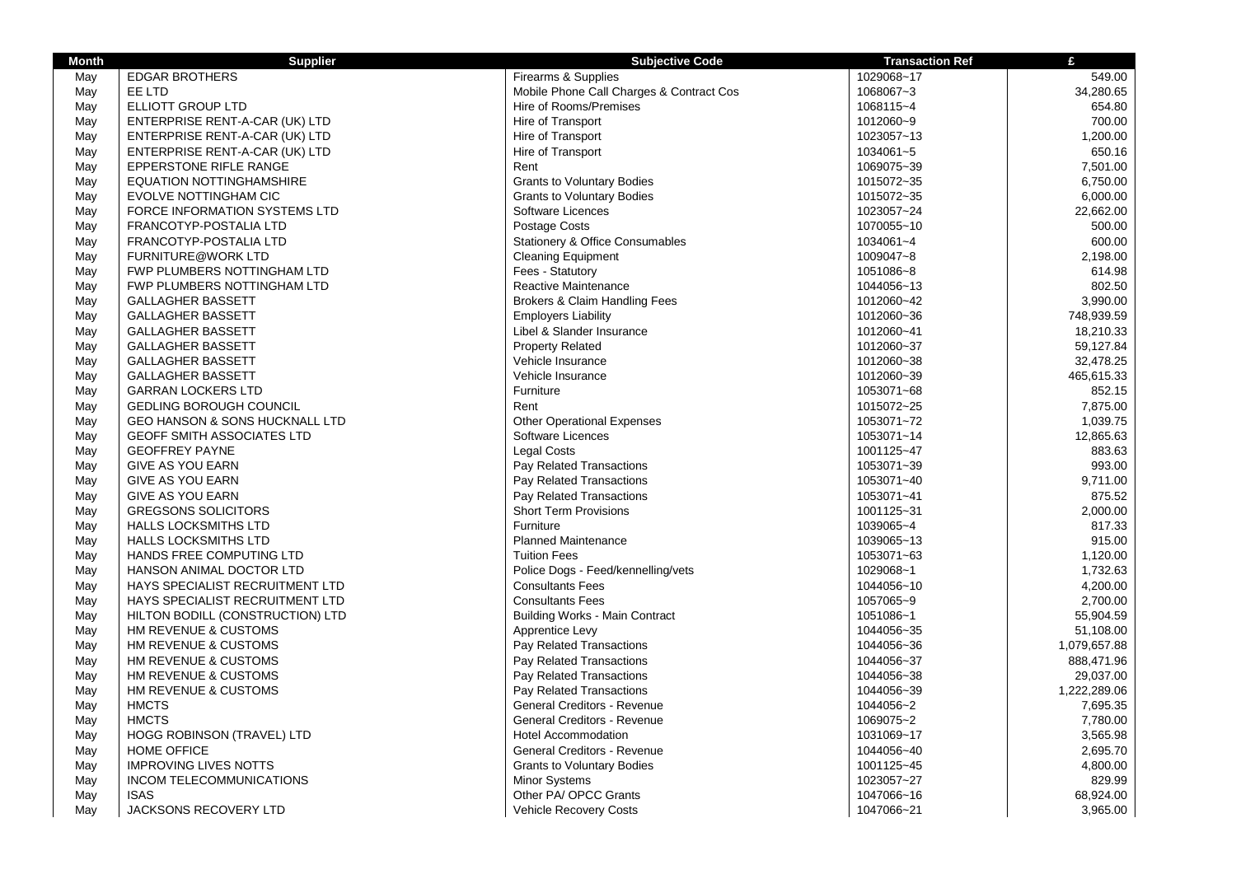| <b>Month</b> | <b>Supplier</b>                   | <b>Subjective Code</b>                   | <b>Transaction Ref</b> | £            |
|--------------|-----------------------------------|------------------------------------------|------------------------|--------------|
| May          | <b>EDGAR BROTHERS</b>             | Firearms & Supplies                      | 1029068~17             | 549.00       |
| May          | EE LTD                            | Mobile Phone Call Charges & Contract Cos | 1068067~3              | 34,280.65    |
| May          | ELLIOTT GROUP LTD                 | Hire of Rooms/Premises                   | 1068115~4              | 654.80       |
| May          | ENTERPRISE RENT-A-CAR (UK) LTD    | Hire of Transport                        | 1012060~9              | 700.00       |
| May          | ENTERPRISE RENT-A-CAR (UK) LTD    | Hire of Transport                        | 1023057~13             | 1,200.00     |
| May          | ENTERPRISE RENT-A-CAR (UK) LTD    | Hire of Transport                        | 1034061~5              | 650.16       |
| May          | EPPERSTONE RIFLE RANGE            | Rent                                     | 1069075~39             | 7,501.00     |
| May          | <b>EQUATION NOTTINGHAMSHIRE</b>   | <b>Grants to Voluntary Bodies</b>        | 1015072~35             | 6,750.00     |
| May          | <b>EVOLVE NOTTINGHAM CIC</b>      | <b>Grants to Voluntary Bodies</b>        | 1015072~35             | 6,000.00     |
| May          | FORCE INFORMATION SYSTEMS LTD     | Software Licences                        | 1023057~24             | 22,662.00    |
| May          | FRANCOTYP-POSTALIA LTD            | Postage Costs                            | 1070055~10             | 500.00       |
| May          | FRANCOTYP-POSTALIA LTD            | Stationery & Office Consumables          | 1034061~4              | 600.00       |
| May          | <b>FURNITURE@WORK LTD</b>         | <b>Cleaning Equipment</b>                | 1009047~8              | 2,198.00     |
| May          | FWP PLUMBERS NOTTINGHAM LTD       | Fees - Statutory                         | 1051086~8              | 614.98       |
| May          | FWP PLUMBERS NOTTINGHAM LTD       | Reactive Maintenance                     | 1044056~13             | 802.50       |
| May          | <b>GALLAGHER BASSETT</b>          | Brokers & Claim Handling Fees            | 1012060~42             | 3,990.00     |
| May          | <b>GALLAGHER BASSETT</b>          | <b>Employers Liability</b>               | 1012060~36             | 748,939.59   |
| May          | <b>GALLAGHER BASSETT</b>          | Libel & Slander Insurance                | 1012060~41             | 18,210.33    |
| May          | <b>GALLAGHER BASSETT</b>          | <b>Property Related</b>                  | 1012060~37             | 59,127.84    |
| May          | <b>GALLAGHER BASSETT</b>          | Vehicle Insurance                        | 1012060~38             | 32,478.25    |
| May          | <b>GALLAGHER BASSETT</b>          | Vehicle Insurance                        | 1012060~39             | 465,615.33   |
| May          | <b>GARRAN LOCKERS LTD</b>         | Furniture                                | 1053071~68             | 852.15       |
| May          | <b>GEDLING BOROUGH COUNCIL</b>    | Rent                                     | 1015072~25             | 7,875.00     |
| May          | GEO HANSON & SONS HUCKNALL LTD    | <b>Other Operational Expenses</b>        | 1053071~72             | 1,039.75     |
| May          | <b>GEOFF SMITH ASSOCIATES LTD</b> | Software Licences                        | 1053071~14             | 12,865.63    |
| May          | <b>GEOFFREY PAYNE</b>             | <b>Legal Costs</b>                       | 1001125~47             | 883.63       |
| May          | <b>GIVE AS YOU EARN</b>           | Pay Related Transactions                 | 1053071~39             | 993.00       |
| May          | <b>GIVE AS YOU EARN</b>           | Pay Related Transactions                 | 1053071~40             | 9,711.00     |
| May          | <b>GIVE AS YOU EARN</b>           | Pay Related Transactions                 | 1053071~41             | 875.52       |
| May          | <b>GREGSONS SOLICITORS</b>        | <b>Short Term Provisions</b>             | 1001125~31             | 2,000.00     |
| May          | HALLS LOCKSMITHS LTD              | Furniture                                | 1039065~4              | 817.33       |
| May          | HALLS LOCKSMITHS LTD              | <b>Planned Maintenance</b>               | 1039065~13             | 915.00       |
| May          | HANDS FREE COMPUTING LTD          | <b>Tuition Fees</b>                      | 1053071~63             | 1,120.00     |
| May          | HANSON ANIMAL DOCTOR LTD          | Police Dogs - Feed/kennelling/vets       | 1029068~1              | 1,732.63     |
| May          | HAYS SPECIALIST RECRUITMENT LTD   | <b>Consultants Fees</b>                  | 1044056~10             | 4,200.00     |
| May          | HAYS SPECIALIST RECRUITMENT LTD   | <b>Consultants Fees</b>                  | 1057065~9              | 2,700.00     |
| May          | HILTON BODILL (CONSTRUCTION) LTD  | <b>Building Works - Main Contract</b>    | 1051086~1              | 55,904.59    |
| May          | HM REVENUE & CUSTOMS              | Apprentice Levy                          | 1044056~35             | 51,108.00    |
| May          | HM REVENUE & CUSTOMS              | Pay Related Transactions                 | 1044056~36             | 1,079,657.88 |
| May          | HM REVENUE & CUSTOMS              | Pay Related Transactions                 | 1044056~37             | 888,471.96   |
| May          | HM REVENUE & CUSTOMS              | Pay Related Transactions                 | 1044056~38             | 29,037.00    |
| May          | HM REVENUE & CUSTOMS              | Pay Related Transactions                 | 1044056~39             | 1,222,289.06 |
| May          | <b>HMCTS</b>                      | General Creditors - Revenue              | 1044056~2              | 7,695.35     |
| May          | <b>HMCTS</b>                      | General Creditors - Revenue              | 1069075~2              | 7,780.00     |
| May          | <b>HOGG ROBINSON (TRAVEL) LTD</b> | <b>Hotel Accommodation</b>               | 1031069~17             | 3,565.98     |
| May          | <b>HOME OFFICE</b>                | General Creditors - Revenue              | 1044056~40             | 2,695.70     |
| May          | <b>IMPROVING LIVES NOTTS</b>      | <b>Grants to Voluntary Bodies</b>        | 1001125~45             | 4,800.00     |
| May          | INCOM TELECOMMUNICATIONS          | Minor Systems                            | 1023057~27             | 829.99       |
| May          | <b>ISAS</b>                       | Other PA/ OPCC Grants                    | 1047066~16             | 68,924.00    |
| May          | JACKSONS RECOVERY LTD             | <b>Vehicle Recovery Costs</b>            | 1047066~21             | 3,965.00     |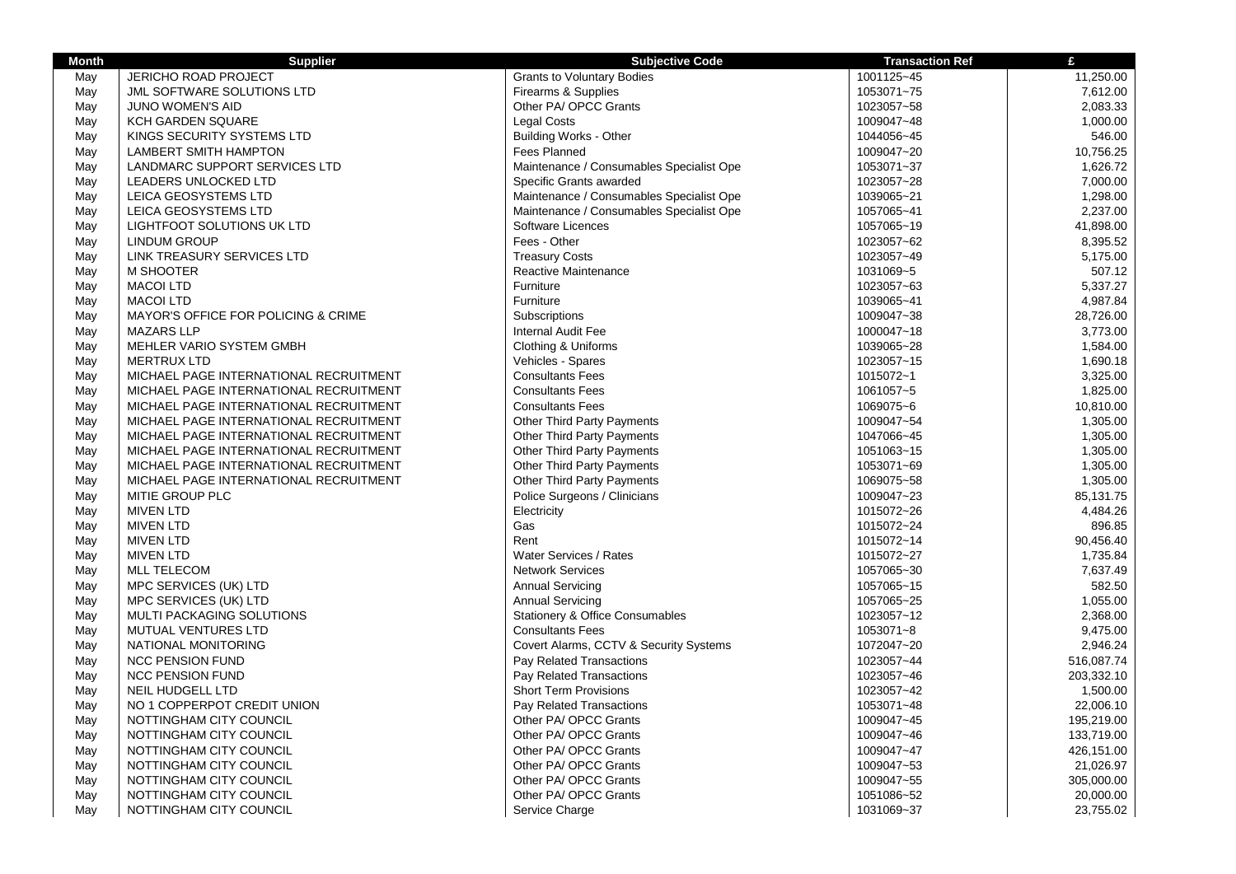| <b>Month</b> | <b>Supplier</b>                        | <b>Subjective Code</b>                     | <b>Transaction Ref</b> | £          |
|--------------|----------------------------------------|--------------------------------------------|------------------------|------------|
| May          | JERICHO ROAD PROJECT                   | <b>Grants to Voluntary Bodies</b>          | 1001125~45             | 11,250.00  |
| May          | JML SOFTWARE SOLUTIONS LTD             | Firearms & Supplies                        | 1053071~75             | 7,612.00   |
| May          | JUNO WOMEN'S AID                       | Other PA/ OPCC Grants                      | 1023057~58             | 2,083.33   |
| May          | KCH GARDEN SQUARE                      | <b>Legal Costs</b>                         | 1009047~48             | 1,000.00   |
| May          | KINGS SECURITY SYSTEMS LTD             | Building Works - Other                     | 1044056~45             | 546.00     |
| May          | <b>LAMBERT SMITH HAMPTON</b>           | Fees Planned                               | 1009047~20             | 10,756.25  |
| May          | LANDMARC SUPPORT SERVICES LTD          | Maintenance / Consumables Specialist Ope   | 1053071~37             | 1,626.72   |
| May          | LEADERS UNLOCKED LTD                   | Specific Grants awarded                    | 1023057~28             | 7,000.00   |
| May          | LEICA GEOSYSTEMS LTD                   | Maintenance / Consumables Specialist Ope   | 1039065~21             | 1,298.00   |
| May          | LEICA GEOSYSTEMS LTD                   | Maintenance / Consumables Specialist Ope   | 1057065~41             | 2,237.00   |
| May          | LIGHTFOOT SOLUTIONS UK LTD             | Software Licences                          | 1057065~19             | 41,898.00  |
| May          | <b>LINDUM GROUP</b>                    | Fees - Other                               | 1023057~62             | 8,395.52   |
| May          | LINK TREASURY SERVICES LTD             | <b>Treasury Costs</b>                      | 1023057~49             | 5,175.00   |
| May          | M SHOOTER                              | Reactive Maintenance                       | 1031069~5              | 507.12     |
| May          | <b>MACOI LTD</b>                       | Furniture                                  | 1023057~63             | 5,337.27   |
| May          | <b>MACOI LTD</b>                       | Furniture                                  | 1039065~41             | 4,987.84   |
| May          | MAYOR'S OFFICE FOR POLICING & CRIME    | Subscriptions                              | 1009047~38             | 28,726.00  |
| May          | <b>MAZARS LLP</b>                      | <b>Internal Audit Fee</b>                  | 1000047~18             | 3,773.00   |
| May          | MEHLER VARIO SYSTEM GMBH               | Clothing & Uniforms                        | 1039065~28             | 1,584.00   |
| May          | <b>MERTRUX LTD</b>                     | Vehicles - Spares                          | 1023057~15             | 1,690.18   |
| May          | MICHAEL PAGE INTERNATIONAL RECRUITMENT | <b>Consultants Fees</b>                    | 1015072~1              | 3,325.00   |
| May          | MICHAEL PAGE INTERNATIONAL RECRUITMENT | <b>Consultants Fees</b>                    | 1061057~5              | 1,825.00   |
| May          | MICHAEL PAGE INTERNATIONAL RECRUITMENT | <b>Consultants Fees</b>                    | 1069075~6              | 10,810.00  |
| May          | MICHAEL PAGE INTERNATIONAL RECRUITMENT | Other Third Party Payments                 | 1009047~54             | 1,305.00   |
| May          | MICHAEL PAGE INTERNATIONAL RECRUITMENT | <b>Other Third Party Payments</b>          | 1047066~45             | 1,305.00   |
| May          | MICHAEL PAGE INTERNATIONAL RECRUITMENT | Other Third Party Payments                 | 1051063~15             | 1,305.00   |
| May          | MICHAEL PAGE INTERNATIONAL RECRUITMENT | <b>Other Third Party Payments</b>          | 1053071~69             | 1,305.00   |
| May          | MICHAEL PAGE INTERNATIONAL RECRUITMENT | Other Third Party Payments                 | 1069075~58             | 1,305.00   |
| May          | MITIE GROUP PLC                        | Police Surgeons / Clinicians               | 1009047~23             | 85,131.75  |
| May          | <b>MIVEN LTD</b>                       | Electricity                                | 1015072~26             | 4,484.26   |
| May          | <b>MIVEN LTD</b>                       | Gas                                        | 1015072~24             | 896.85     |
| May          | <b>MIVEN LTD</b>                       | Rent                                       | 1015072~14             | 90,456.40  |
| May          | <b>MIVEN LTD</b>                       | Water Services / Rates                     | 1015072~27             | 1,735.84   |
| May          | <b>MLL TELECOM</b>                     | <b>Network Services</b>                    | 1057065~30             | 7,637.49   |
| May          | MPC SERVICES (UK) LTD                  | <b>Annual Servicing</b>                    | 1057065~15             | 582.50     |
| May          | MPC SERVICES (UK) LTD                  | <b>Annual Servicing</b>                    | 1057065~25             | 1,055.00   |
| May          | MULTI PACKAGING SOLUTIONS              | <b>Stationery &amp; Office Consumables</b> | 1023057~12             | 2,368.00   |
| May          | <b>MUTUAL VENTURES LTD</b>             | <b>Consultants Fees</b>                    | 1053071~8              | 9,475.00   |
| May          | NATIONAL MONITORING                    | Covert Alarms, CCTV & Security Systems     | 1072047~20             | 2,946.24   |
| May          | <b>NCC PENSION FUND</b>                | Pay Related Transactions                   | 1023057~44             | 516,087.74 |
| May          | <b>NCC PENSION FUND</b>                | Pay Related Transactions                   | 1023057~46             | 203,332.10 |
| May          | <b>NEIL HUDGELL LTD</b>                | <b>Short Term Provisions</b>               | 1023057~42             | 1,500.00   |
| May          | NO 1 COPPERPOT CREDIT UNION            | Pay Related Transactions                   | 1053071~48             | 22,006.10  |
| May          | NOTTINGHAM CITY COUNCIL                | Other PA/ OPCC Grants                      | 1009047~45             | 195,219.00 |
| May          | NOTTINGHAM CITY COUNCIL                | Other PA/ OPCC Grants                      | 1009047~46             | 133,719.00 |
| May          | NOTTINGHAM CITY COUNCIL                | Other PA/ OPCC Grants                      | 1009047~47             | 426,151.00 |
| May          | NOTTINGHAM CITY COUNCIL                | Other PA/ OPCC Grants                      | 1009047~53             | 21,026.97  |
| May          | NOTTINGHAM CITY COUNCIL                | Other PA/ OPCC Grants                      | 1009047~55             | 305,000.00 |
| May          | NOTTINGHAM CITY COUNCIL                | Other PA/ OPCC Grants                      | 1051086~52             | 20,000.00  |
| May          | NOTTINGHAM CITY COUNCIL                | Service Charge                             | 1031069~37             | 23,755.02  |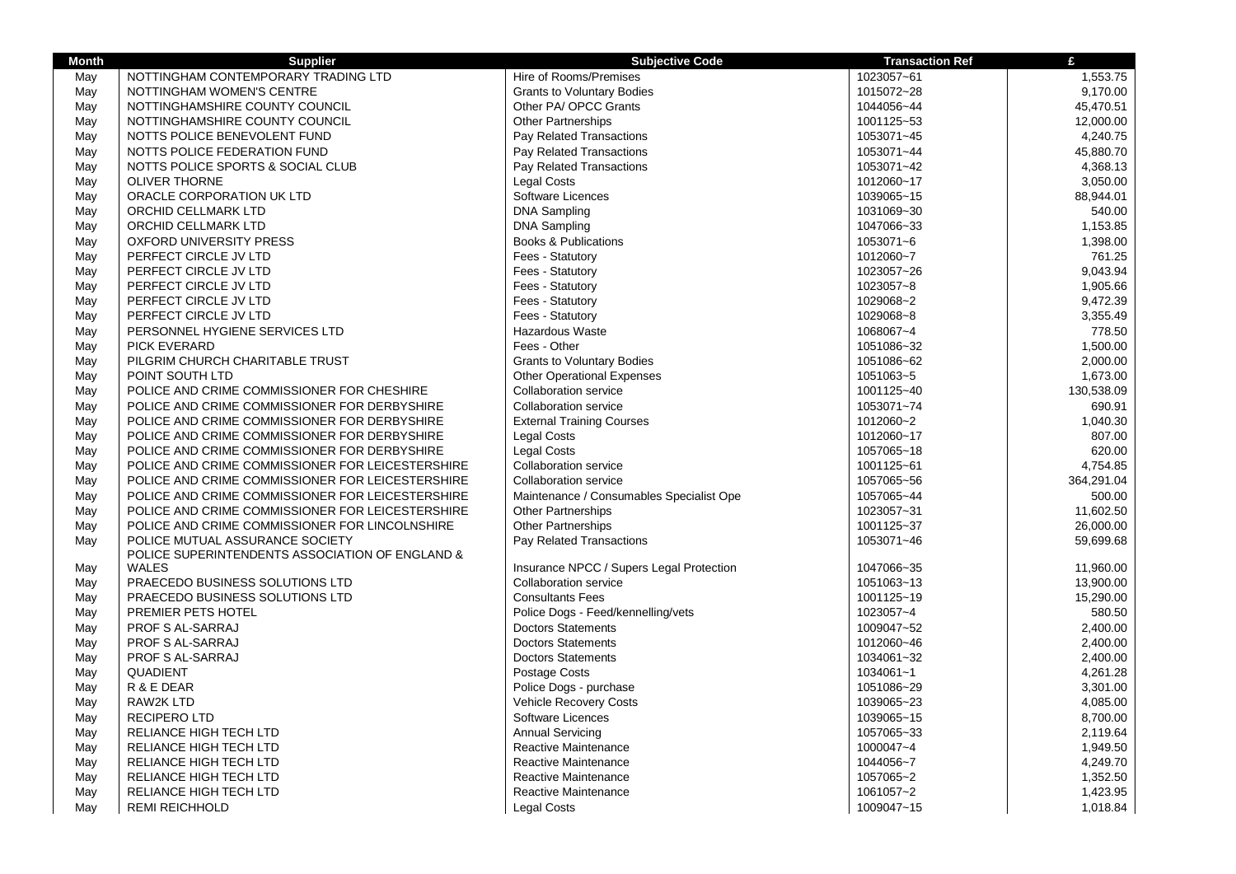| <b>Month</b> | <b>Supplier</b>                                                                    | <b>Subjective Code</b>                   | <b>Transaction Ref</b> | £          |
|--------------|------------------------------------------------------------------------------------|------------------------------------------|------------------------|------------|
| May          | NOTTINGHAM CONTEMPORARY TRADING LTD                                                | Hire of Rooms/Premises                   | 1023057~61             | 1,553.75   |
| May          | NOTTINGHAM WOMEN'S CENTRE                                                          | <b>Grants to Voluntary Bodies</b>        | 1015072~28             | 9,170.00   |
| May          | NOTTINGHAMSHIRE COUNTY COUNCIL                                                     | Other PA/ OPCC Grants                    | 1044056~44             | 45,470.51  |
| May          | NOTTINGHAMSHIRE COUNTY COUNCIL                                                     | <b>Other Partnerships</b>                | 1001125~53             | 12,000.00  |
| May          | NOTTS POLICE BENEVOLENT FUND                                                       | Pay Related Transactions                 | 1053071~45             | 4,240.75   |
| May          | NOTTS POLICE FEDERATION FUND                                                       | Pay Related Transactions                 | 1053071~44             | 45,880.70  |
| May          | NOTTS POLICE SPORTS & SOCIAL CLUB                                                  | Pay Related Transactions                 | 1053071~42             | 4,368.13   |
| May          | <b>OLIVER THORNE</b>                                                               | Legal Costs                              | 1012060~17             | 3,050.00   |
| May          | ORACLE CORPORATION UK LTD                                                          | Software Licences                        | 1039065~15             | 88,944.01  |
| May          | ORCHID CELLMARK LTD                                                                | <b>DNA Sampling</b>                      | 1031069~30             | 540.00     |
| May          | ORCHID CELLMARK LTD                                                                | <b>DNA Sampling</b>                      | 1047066~33             | 1,153.85   |
| May          | <b>OXFORD UNIVERSITY PRESS</b>                                                     | <b>Books &amp; Publications</b>          | 1053071~6              | 1,398.00   |
| May          | PERFECT CIRCLE JV LTD                                                              | Fees - Statutory                         | 1012060~7              | 761.25     |
| May          | PERFECT CIRCLE JV LTD                                                              | Fees - Statutory                         | 1023057~26             | 9.043.94   |
| May          | PERFECT CIRCLE JV LTD                                                              | Fees - Statutory                         | 1023057~8              | 1,905.66   |
| May          | PERFECT CIRCLE JV LTD                                                              | Fees - Statutory                         | 1029068~2              | 9,472.39   |
| May          | PERFECT CIRCLE JV LTD                                                              | Fees - Statutory                         | 1029068~8              | 3,355.49   |
| May          | PERSONNEL HYGIENE SERVICES LTD                                                     | Hazardous Waste                          | 1068067~4              | 778.50     |
| May          | <b>PICK EVERARD</b>                                                                | Fees - Other                             | 1051086~32             | 1,500.00   |
| May          | PILGRIM CHURCH CHARITABLE TRUST                                                    | <b>Grants to Voluntary Bodies</b>        | 1051086~62             | 2,000.00   |
| May          | POINT SOUTH LTD                                                                    | <b>Other Operational Expenses</b>        | 1051063~5              | 1,673.00   |
| May          | POLICE AND CRIME COMMISSIONER FOR CHESHIRE                                         | <b>Collaboration service</b>             | 1001125~40             | 130,538.09 |
| May          | POLICE AND CRIME COMMISSIONER FOR DERBYSHIRE                                       | Collaboration service                    | 1053071~74             | 690.91     |
| May          | POLICE AND CRIME COMMISSIONER FOR DERBYSHIRE                                       | <b>External Training Courses</b>         | 1012060~2              | 1,040.30   |
| May          | POLICE AND CRIME COMMISSIONER FOR DERBYSHIRE                                       | Legal Costs                              | 1012060~17             | 807.00     |
| May          | POLICE AND CRIME COMMISSIONER FOR DERBYSHIRE                                       | Legal Costs                              | 1057065~18             | 620.00     |
| May          | POLICE AND CRIME COMMISSIONER FOR LEICESTERSHIRE                                   | Collaboration service                    | 1001125~61             | 4,754.85   |
| May          | POLICE AND CRIME COMMISSIONER FOR LEICESTERSHIRE                                   | <b>Collaboration service</b>             | 1057065~56             | 364,291.04 |
| May          | POLICE AND CRIME COMMISSIONER FOR LEICESTERSHIRE                                   | Maintenance / Consumables Specialist Ope | 1057065~44             | 500.00     |
| May          | POLICE AND CRIME COMMISSIONER FOR LEICESTERSHIRE                                   | <b>Other Partnerships</b>                | 1023057~31             | 11,602.50  |
| May          | POLICE AND CRIME COMMISSIONER FOR LINCOLNSHIRE                                     | <b>Other Partnerships</b>                | 1001125~37             | 26,000.00  |
| May          | POLICE MUTUAL ASSURANCE SOCIETY<br>POLICE SUPERINTENDENTS ASSOCIATION OF ENGLAND & | Pay Related Transactions                 | 1053071~46             | 59,699.68  |
| May          | <b>WALES</b>                                                                       | Insurance NPCC / Supers Legal Protection | 1047066~35             | 11,960.00  |
| May          | PRAECEDO BUSINESS SOLUTIONS LTD                                                    | Collaboration service                    | 1051063~13             | 13,900.00  |
| May          | PRAECEDO BUSINESS SOLUTIONS LTD                                                    | <b>Consultants Fees</b>                  | 1001125~19             | 15,290.00  |
| May          | PREMIER PETS HOTEL                                                                 | Police Dogs - Feed/kennelling/vets       | 1023057~4              | 580.50     |
| May          | PROF S AL-SARRAJ                                                                   | <b>Doctors Statements</b>                | 1009047~52             | 2,400.00   |
| May          | PROF S AL-SARRAJ                                                                   | <b>Doctors Statements</b>                | 1012060~46             | 2,400.00   |
| May          | PROF S AL-SARRAJ                                                                   | <b>Doctors Statements</b>                | 1034061~32             | 2,400.00   |
| May          | QUADIENT                                                                           | Postage Costs                            | 1034061~1              | 4,261.28   |
| May          | R & E DEAR                                                                         | Police Dogs - purchase                   | 1051086~29             | 3,301.00   |
| May          | <b>RAW2K LTD</b>                                                                   | Vehicle Recovery Costs                   | 1039065~23             | 4,085.00   |
| May          | <b>RECIPERO LTD</b>                                                                | Software Licences                        | 1039065~15             | 8,700.00   |
| May          | RELIANCE HIGH TECH LTD                                                             | <b>Annual Servicing</b>                  | 1057065~33             | 2,119.64   |
| May          | RELIANCE HIGH TECH LTD                                                             | Reactive Maintenance                     | 1000047~4              | 1,949.50   |
| May          | RELIANCE HIGH TECH LTD                                                             | Reactive Maintenance                     | 1044056~7              | 4,249.70   |
| May          | RELIANCE HIGH TECH LTD                                                             | Reactive Maintenance                     | 1057065~2              | 1,352.50   |
| May          | RELIANCE HIGH TECH LTD                                                             | Reactive Maintenance                     | 1061057~2              | 1,423.95   |
| May          | <b>REMI REICHHOLD</b>                                                              | Legal Costs                              | 1009047~15             | 1,018.84   |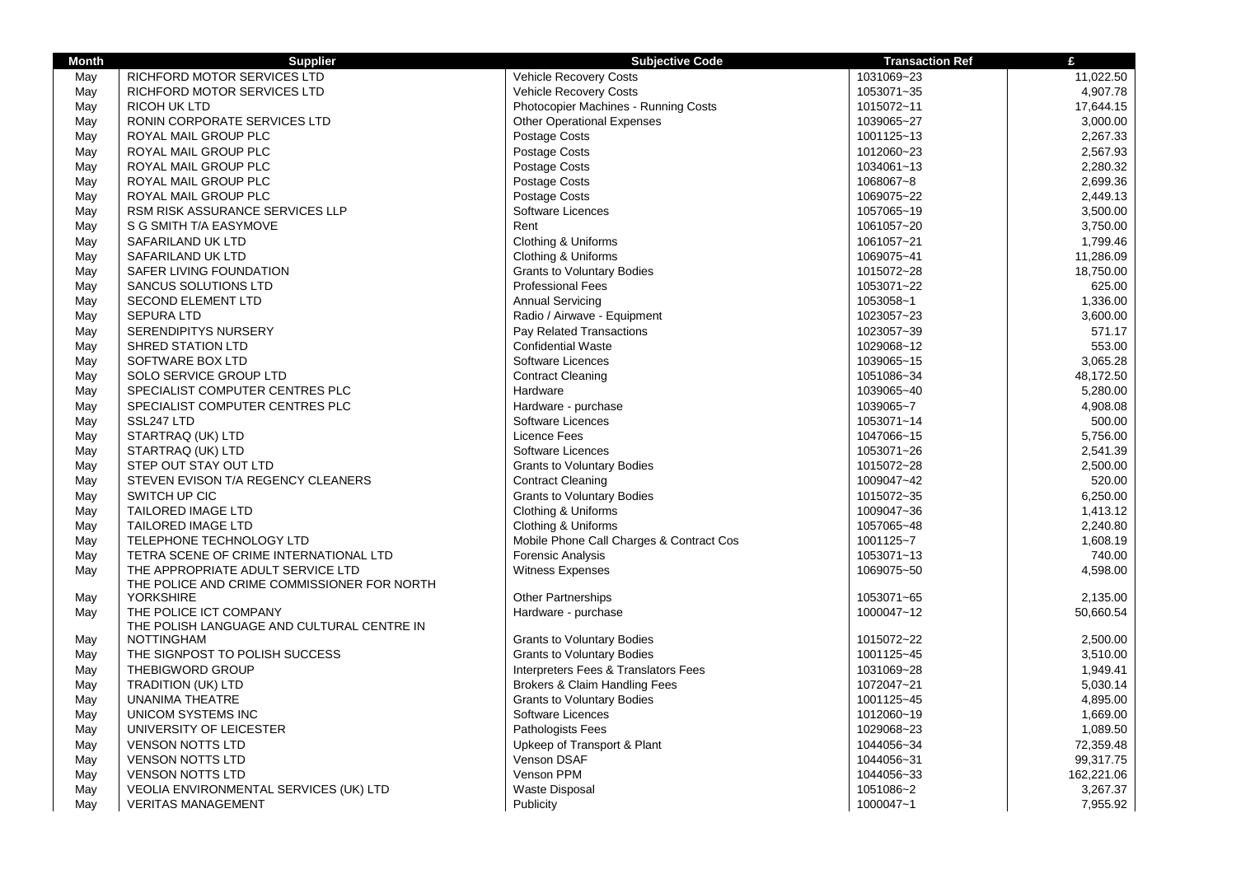| <b>Month</b> | <b>Supplier</b>                                                                  | <b>Subjective Code</b>                   | <b>Transaction Ref</b> | £          |
|--------------|----------------------------------------------------------------------------------|------------------------------------------|------------------------|------------|
| May          | RICHFORD MOTOR SERVICES LTD                                                      | <b>Vehicle Recovery Costs</b>            | 1031069~23             | 11,022.50  |
| May          | RICHFORD MOTOR SERVICES LTD                                                      | Vehicle Recovery Costs                   | 1053071~35             | 4,907.78   |
| May          | <b>RICOH UK LTD</b>                                                              | Photocopier Machines - Running Costs     | 1015072~11             | 17,644.15  |
| May          | RONIN CORPORATE SERVICES LTD                                                     | <b>Other Operational Expenses</b>        | 1039065~27             | 3,000.00   |
| May          | ROYAL MAIL GROUP PLC                                                             | Postage Costs                            | 1001125~13             | 2,267.33   |
| May          | ROYAL MAIL GROUP PLC                                                             | Postage Costs                            | 1012060~23             | 2,567.93   |
| May          | ROYAL MAIL GROUP PLC                                                             | Postage Costs                            | 1034061~13             | 2,280.32   |
| May          | ROYAL MAIL GROUP PLC                                                             | Postage Costs                            | 1068067~8              | 2,699.36   |
| May          | ROYAL MAIL GROUP PLC                                                             | Postage Costs                            | 1069075~22             | 2,449.13   |
| May          | RSM RISK ASSURANCE SERVICES LLP                                                  | Software Licences                        | 1057065~19             | 3,500.00   |
| May          | S G SMITH T/A EASYMOVE                                                           | Rent                                     | 1061057~20             | 3,750.00   |
| May          | SAFARILAND UK LTD                                                                | Clothing & Uniforms                      | 1061057~21             | 1,799.46   |
| May          | SAFARILAND UK LTD                                                                | Clothing & Uniforms                      | 1069075~41             | 11,286.09  |
| May          | SAFER LIVING FOUNDATION                                                          | <b>Grants to Voluntary Bodies</b>        | 1015072~28             | 18,750.00  |
| May          | <b>SANCUS SOLUTIONS LTD</b>                                                      | <b>Professional Fees</b>                 | 1053071~22             | 625.00     |
| May          | <b>SECOND ELEMENT LTD</b>                                                        | <b>Annual Servicing</b>                  | 1053058~1              | 1.336.00   |
| May          | <b>SEPURA LTD</b>                                                                | Radio / Airwave - Equipment              | 1023057~23             | 3,600.00   |
| May          | SERENDIPITYS NURSERY                                                             | Pay Related Transactions                 | 1023057~39             | 571.17     |
| May          | <b>SHRED STATION LTD</b>                                                         | <b>Confidential Waste</b>                | 1029068~12             | 553.00     |
| May          | SOFTWARE BOX LTD                                                                 | Software Licences                        | 1039065~15             | 3,065.28   |
| May          | SOLO SERVICE GROUP LTD                                                           | <b>Contract Cleaning</b>                 | 1051086~34             | 48,172.50  |
| May          | SPECIALIST COMPUTER CENTRES PLC                                                  | Hardware                                 | 1039065~40             | 5,280.00   |
| May          | SPECIALIST COMPUTER CENTRES PLC                                                  | Hardware - purchase                      | 1039065~7              | 4,908.08   |
| May          | SSL247 LTD                                                                       | Software Licences                        | 1053071~14             | 500.00     |
| May          | STARTRAQ (UK) LTD                                                                | Licence Fees                             | 1047066~15             | 5,756.00   |
| May          | STARTRAQ (UK) LTD                                                                | Software Licences                        | 1053071~26             | 2,541.39   |
| May          | STEP OUT STAY OUT LTD                                                            | <b>Grants to Voluntary Bodies</b>        | 1015072~28             | 2,500.00   |
| May          | STEVEN EVISON T/A REGENCY CLEANERS                                               | <b>Contract Cleaning</b>                 | 1009047~42             | 520.00     |
| May          | SWITCH UP CIC                                                                    | <b>Grants to Voluntary Bodies</b>        | 1015072~35             | 6,250.00   |
| May          | <b>TAILORED IMAGE LTD</b>                                                        | Clothing & Uniforms                      | 1009047~36             | 1,413.12   |
| May          | <b>TAILORED IMAGE LTD</b>                                                        | Clothing & Uniforms                      | 1057065~48             | 2,240.80   |
| May          | TELEPHONE TECHNOLOGY LTD                                                         | Mobile Phone Call Charges & Contract Cos | 1001125~7              | 1,608.19   |
| May          | TETRA SCENE OF CRIME INTERNATIONAL LTD                                           | Forensic Analysis                        | 1053071~13             | 740.00     |
| May          | THE APPROPRIATE ADULT SERVICE LTD<br>THE POLICE AND CRIME COMMISSIONER FOR NORTH | <b>Witness Expenses</b>                  | 1069075~50             | 4,598.00   |
| May          | <b>YORKSHIRE</b>                                                                 | <b>Other Partnerships</b>                | 1053071~65             | 2.135.00   |
| May          | THE POLICE ICT COMPANY                                                           | Hardware - purchase                      | 1000047~12             | 50,660.54  |
|              | THE POLISH LANGUAGE AND CULTURAL CENTRE IN                                       |                                          |                        |            |
| May          | <b>NOTTINGHAM</b>                                                                | <b>Grants to Voluntary Bodies</b>        | 1015072~22             | 2,500.00   |
| May          | THE SIGNPOST TO POLISH SUCCESS                                                   | <b>Grants to Voluntary Bodies</b>        | 1001125~45             | 3,510.00   |
| May          | THEBIGWORD GROUP                                                                 | Interpreters Fees & Translators Fees     | 1031069~28             | 1,949.41   |
| May          | TRADITION (UK) LTD                                                               | Brokers & Claim Handling Fees            | 1072047~21             | 5,030.14   |
| May          | <b>UNANIMA THEATRE</b>                                                           | <b>Grants to Voluntary Bodies</b>        | 1001125~45             | 4,895.00   |
| May          | UNICOM SYSTEMS INC                                                               | Software Licences                        | 1012060~19             | 1,669.00   |
| May          | UNIVERSITY OF LEICESTER                                                          | Pathologists Fees                        | 1029068~23             | 1,089.50   |
| May          | <b>VENSON NOTTS LTD</b>                                                          | Upkeep of Transport & Plant              | 1044056~34             | 72,359.48  |
| May          | <b>VENSON NOTTS LTD</b>                                                          | Venson DSAF                              | 1044056~31             | 99,317.75  |
| May          | <b>VENSON NOTTS LTD</b>                                                          | Venson PPM                               | 1044056~33             | 162,221.06 |
| May          | VEOLIA ENVIRONMENTAL SERVICES (UK) LTD                                           | Waste Disposal                           | 1051086~2              | 3,267.37   |
| May          | <b>VERITAS MANAGEMENT</b>                                                        | Publicity                                | 1000047~1              | 7,955.92   |